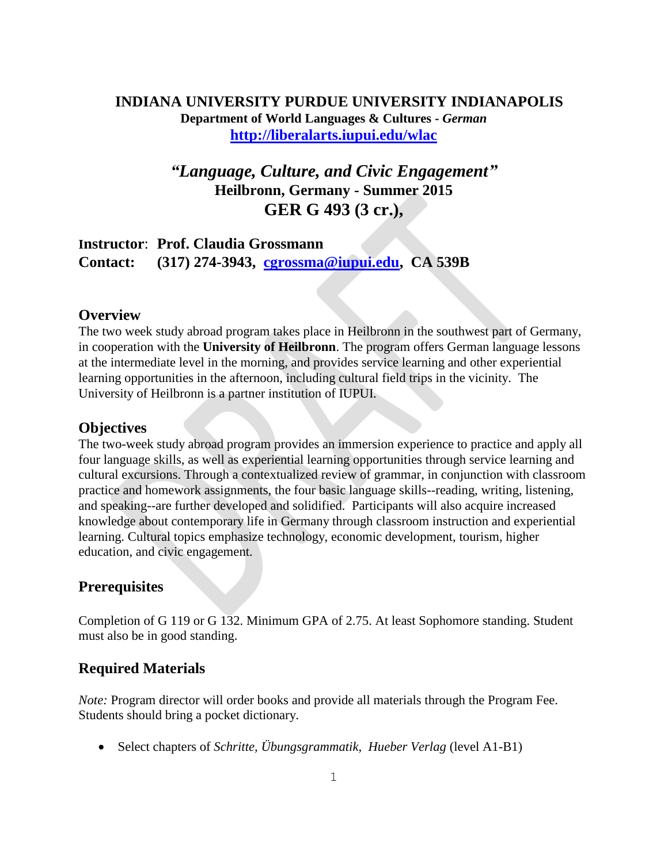### **INDIANA UNIVERSITY PURDUE UNIVERSITY INDIANAPOLIS Department of World Languages & Cultures -** *German* **<http://liberalarts.iupui.edu/wlac>**

# *"Language, Culture, and Civic Engagement"* **Heilbronn, Germany - Summer 2015 GER G 493 (3 cr.),**

## **Instructor**: **Prof. Claudia Grossmann Contact: (317) 274-3943, [cgrossma@iupui.edu,](mailto:cgrossma@iupui.edu) CA 539B**

### **Overview**

The two week study abroad program takes place in Heilbronn in the southwest part of Germany, in cooperation with the **University of Heilbronn**. The program offers German language lessons at the intermediate level in the morning, and provides service learning and other experiential learning opportunities in the afternoon, including cultural field trips in the vicinity. The University of Heilbronn is a partner institution of IUPUI.

### **Objectives**

The two-week study abroad program provides an immersion experience to practice and apply all four language skills, as well as experiential learning opportunities through service learning and cultural excursions. Through a contextualized review of grammar, in conjunction with classroom practice and homework assignments, the four basic language skills--reading, writing, listening, and speaking--are further developed and solidified. Participants will also acquire increased knowledge about contemporary life in Germany through classroom instruction and experiential learning. Cultural topics emphasize technology, economic development, tourism, higher education, and civic engagement.

## **Prerequisites**

Completion of G 119 or G 132. Minimum GPA of 2.75. At least Sophomore standing. Student must also be in good standing.

## **Required Materials**

*Note:* Program director will order books and provide all materials through the Program Fee. Students should bring a pocket dictionary.

Select chapters of *Schritte, Übungsgrammatik, Hueber Verlag* (level A1-B1)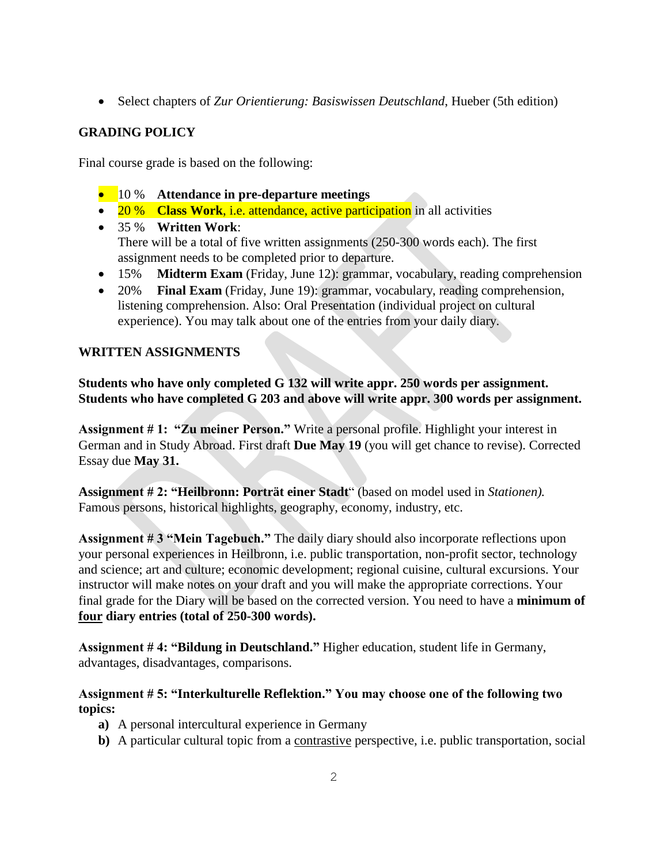Select chapters of *Zur Orientierung: Basiswissen Deutschland*, Hueber (5th edition)

### **GRADING POLICY**

Final course grade is based on the following:

- 10 % **Attendance in pre-departure meetings**
- 20 % **Class Work**, i.e. attendance, active participation in all activities
- 35 % **Written Work**: There will be a total of five written assignments (250-300 words each). The first assignment needs to be completed prior to departure.
- 15% **Midterm Exam** (Friday, June 12): grammar, vocabulary, reading comprehension
- 20% **Final Exam** (Friday, June 19): grammar, vocabulary, reading comprehension, listening comprehension. Also: Oral Presentation (individual project on cultural experience). You may talk about one of the entries from your daily diary.

### **WRITTEN ASSIGNMENTS**

**Students who have only completed G 132 will write appr. 250 words per assignment. Students who have completed G 203 and above will write appr. 300 words per assignment.**

**Assignment # 1: "Zu meiner Person."** Write a personal profile. Highlight your interest in German and in Study Abroad. First draft **Due May 19** (you will get chance to revise). Corrected Essay due **May 31.** 

**Assignment # 2: "Heilbronn: Porträt einer Stadt**" (based on model used in *Stationen).* Famous persons, historical highlights, geography, economy, industry, etc.

**Assignment # 3 "Mein Tagebuch."** The daily diary should also incorporate reflections upon your personal experiences in Heilbronn, i.e. public transportation, non-profit sector, technology and science; art and culture; economic development; regional cuisine, cultural excursions. Your instructor will make notes on your draft and you will make the appropriate corrections. Your final grade for the Diary will be based on the corrected version. You need to have a **minimum of four diary entries (total of 250-300 words).**

**Assignment # 4: "Bildung in Deutschland."** Higher education, student life in Germany, advantages, disadvantages, comparisons.

### **Assignment # 5: "Interkulturelle Reflektion." You may choose one of the following two topics:**

- **a)** A personal intercultural experience in Germany
- **b**) A particular cultural topic from a <u>contrastive</u> perspective, i.e. public transportation, social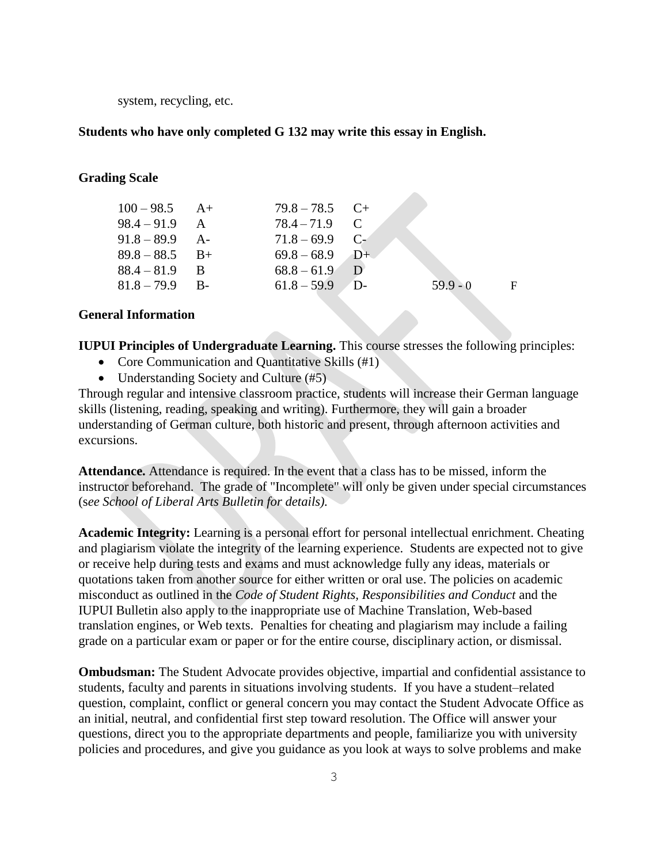system, recycling, etc.

#### **Students who have only completed G 132 may write this essay in English.**

#### **Grading Scale**

| $100 - 98.5$ A+  | $79.8 - 78.5$ C+ |            |              |
|------------------|------------------|------------|--------------|
| $98.4 - 91.9$ A  | $78.4 - 71.9$ C  |            |              |
| $91.8 - 89.9$ A- | $71.8 - 69.9$ C- |            |              |
| $89.8 - 88.5$ B+ | $69.8 - 68.9$ D+ |            |              |
| $88.4 - 81.9$ B  | $68.8 - 61.9$ D  |            |              |
| $81.8 - 79.9$ B- | $61.8 - 59.9$ D- | $59.9 - 0$ | $\mathbf{F}$ |
|                  |                  |            |              |

**START** 

#### **General Information**

**IUPUI Principles of Undergraduate Learning.** This course stresses the following principles:

- Core Communication and Quantitative Skills (#1)
- Understanding Society and Culture (#5)

Through regular and intensive classroom practice, students will increase their German language skills (listening, reading, speaking and writing). Furthermore, they will gain a broader understanding of German culture, both historic and present, through afternoon activities and excursions.

**Attendance.** Attendance is required. In the event that a class has to be missed, inform the instructor beforehand. The grade of "Incomplete" will only be given under special circumstances (s*ee School of Liberal Arts Bulletin for details).*

**Academic Integrity:** Learning is a personal effort for personal intellectual enrichment. Cheating and plagiarism violate the integrity of the learning experience. Students are expected not to give or receive help during tests and exams and must acknowledge fully any ideas, materials or quotations taken from another source for either written or oral use. The policies on academic misconduct as outlined in the *Code of Student Rights, Responsibilities and Conduct* and the IUPUI Bulletin also apply to the inappropriate use of Machine Translation, Web-based translation engines, or Web texts. Penalties for cheating and plagiarism may include a failing grade on a particular exam or paper or for the entire course, disciplinary action, or dismissal.

**Ombudsman:** The Student Advocate provides objective, impartial and confidential assistance to students, faculty and parents in situations involving students. If you have a student–related question, complaint, conflict or general concern you may contact the Student Advocate Office as an initial, neutral, and confidential first step toward resolution. The Office will answer your questions, direct you to the appropriate departments and people, familiarize you with university policies and procedures, and give you guidance as you look at ways to solve problems and make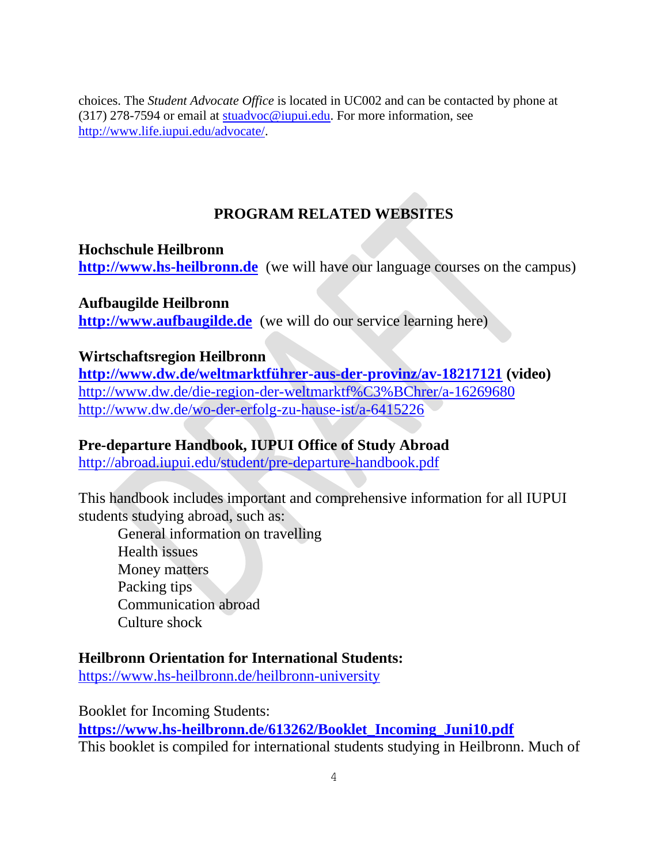choices. The *Student Advocate Office* is located in UC002 and can be contacted by phone at (317) 278-7594 or email at [stuadvoc@iupui.edu.](mailto:stuadvoc@iupui.edu) For more information, see [http://www.life.iupui.edu/advocate/.](http://www.life.iupui.edu/advocate/)

# **PROGRAM RELATED WEBSITES**

## **Hochschule Heilbronn**

**[http://www.hs-heilbronn.de](http://www.hs-heilbronn.de/)** (we will have our language courses on the campus)

## **Aufbaugilde Heilbronn**

**[http://www.aufbaugilde.de](http://www.aufbaugilde.de/)** (we will do our service learning here)

# **Wirtschaftsregion Heilbronn**

**<http://www.dw.de/weltmarktführer-aus-der-provinz/av-18217121> (video)** <http://www.dw.de/die-region-der-weltmarktf%C3%BChrer/a-16269680> <http://www.dw.de/wo-der-erfolg-zu-hause-ist/a-6415226>

# **Pre-departure Handbook, IUPUI Office of Study Abroad**

<http://abroad.iupui.edu/student/pre-departure-handbook.pdf>

This handbook includes important and comprehensive information for all IUPUI students studying abroad, such as:

General information on travelling Health issues Money matters Packing tips Communication abroad Culture shock

# **Heilbronn Orientation for International Students:**

<https://www.hs-heilbronn.de/heilbronn-university>

Booklet for Incoming Students: **[https://www.hs-heilbronn.de/613262/Booklet\\_Incoming\\_Juni10.pdf](https://www.hs-heilbronn.de/613262/Booklet_Incoming_Juni10.pdf)** This booklet is compiled for international students studying in Heilbronn. Much of